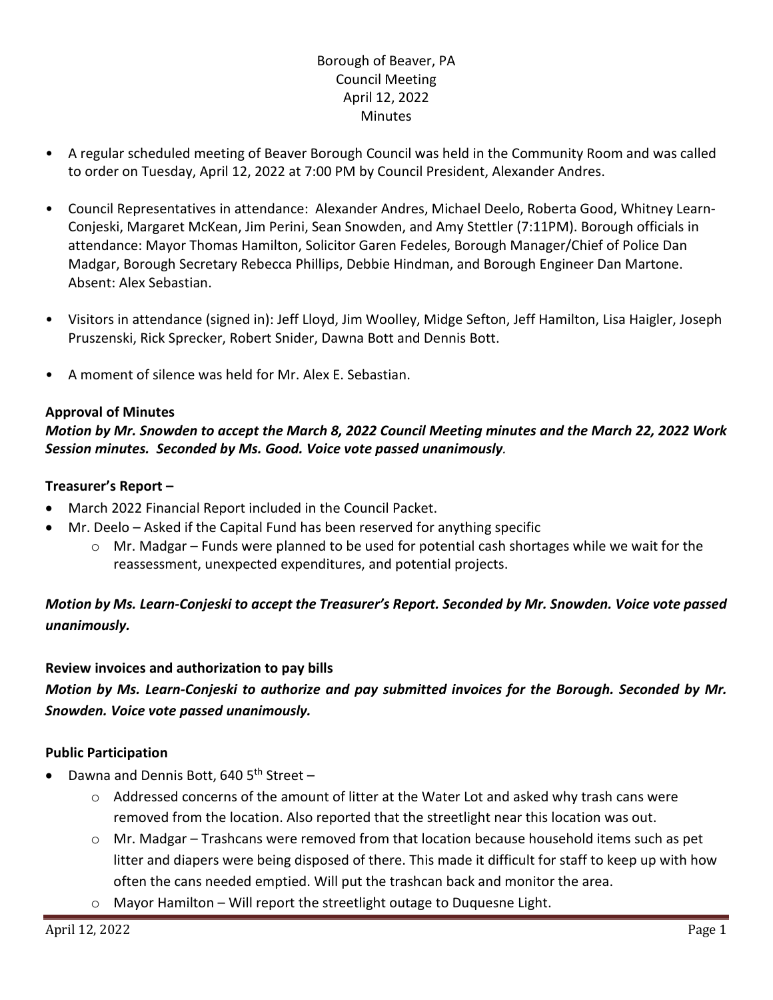# Borough of Beaver, PA Council Meeting April 12, 2022 **Minutes**

- A regular scheduled meeting of Beaver Borough Council was held in the Community Room and was called to order on Tuesday, April 12, 2022 at 7:00 PM by Council President, Alexander Andres.
- Council Representatives in attendance: Alexander Andres, Michael Deelo, Roberta Good, Whitney Learn-Conjeski, Margaret McKean, Jim Perini, Sean Snowden, and Amy Stettler (7:11PM). Borough officials in attendance: Mayor Thomas Hamilton, Solicitor Garen Fedeles, Borough Manager/Chief of Police Dan Madgar, Borough Secretary Rebecca Phillips, Debbie Hindman, and Borough Engineer Dan Martone. Absent: Alex Sebastian.
- Visitors in attendance (signed in): Jeff Lloyd, Jim Woolley, Midge Sefton, Jeff Hamilton, Lisa Haigler, Joseph Pruszenski, Rick Sprecker, Robert Snider, Dawna Bott and Dennis Bott.
- A moment of silence was held for Mr. Alex E. Sebastian.

# **Approval of Minutes**

# *Motion by Mr. Snowden to accept the March 8, 2022 Council Meeting minutes and the March 22, 2022 Work Session minutes. Seconded by Ms. Good. Voice vote passed unanimously.*

## **Treasurer's Report –**

- March 2022 Financial Report included in the Council Packet.
- Mr. Deelo Asked if the Capital Fund has been reserved for anything specific
	- $\circ$  Mr. Madgar Funds were planned to be used for potential cash shortages while we wait for the reassessment, unexpected expenditures, and potential projects.

# *Motion by Ms. Learn-Conjeski to accept the Treasurer's Report. Seconded by Mr. Snowden. Voice vote passed unanimously.*

# **Review invoices and authorization to pay bills**

# *Motion by Ms. Learn-Conjeski to authorize and pay submitted invoices for the Borough. Seconded by Mr. Snowden. Voice vote passed unanimously.*

# **Public Participation**

- Dawna and Dennis Bott, 640  $5<sup>th</sup>$  Street
	- $\circ$  Addressed concerns of the amount of litter at the Water Lot and asked why trash cans were removed from the location. Also reported that the streetlight near this location was out.
	- $\circ$  Mr. Madgar Trashcans were removed from that location because household items such as pet litter and diapers were being disposed of there. This made it difficult for staff to keep up with how often the cans needed emptied. Will put the trashcan back and monitor the area.
	- o Mayor Hamilton Will report the streetlight outage to Duquesne Light.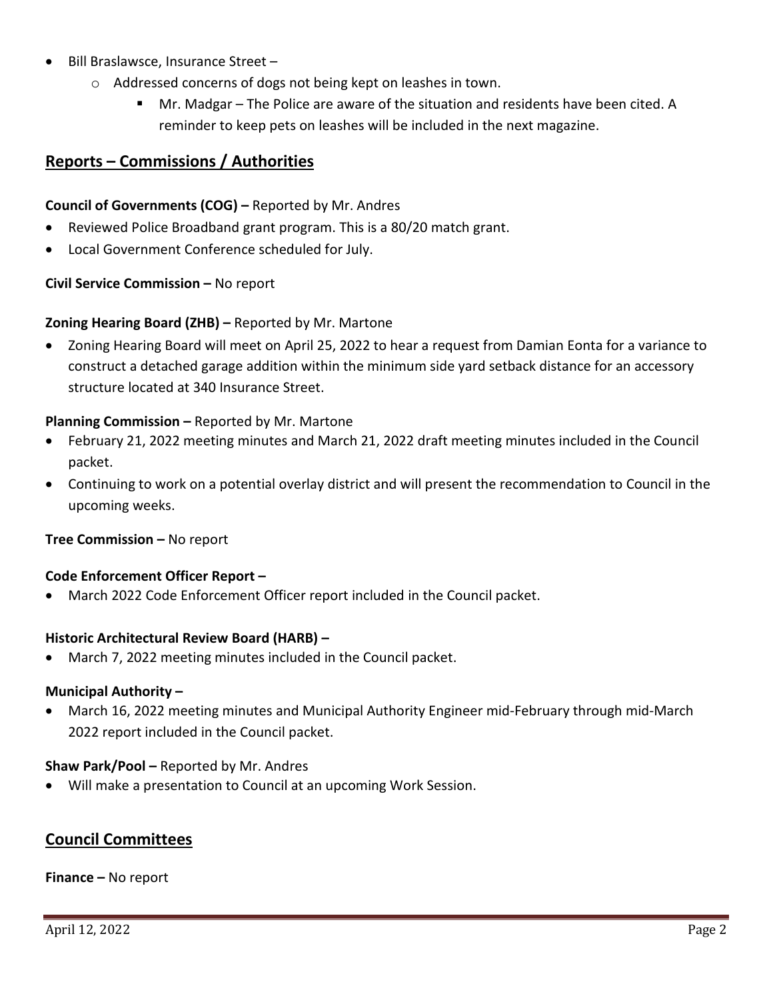- Bill Braslawsce, Insurance Street
	- o Addressed concerns of dogs not being kept on leashes in town.
		- Mr. Madgar The Police are aware of the situation and residents have been cited. A reminder to keep pets on leashes will be included in the next magazine.

# **Reports – Commissions / Authorities**

## **Council of Governments (COG) –** Reported by Mr. Andres

- Reviewed Police Broadband grant program. This is a 80/20 match grant.
- Local Government Conference scheduled for July.

#### **Civil Service Commission –** No report

## **Zoning Hearing Board (ZHB) –** Reported by Mr. Martone

• Zoning Hearing Board will meet on April 25, 2022 to hear a request from Damian Eonta for a variance to construct a detached garage addition within the minimum side yard setback distance for an accessory structure located at 340 Insurance Street.

## **Planning Commission –** Reported by Mr. Martone

- February 21, 2022 meeting minutes and March 21, 2022 draft meeting minutes included in the Council packet.
- Continuing to work on a potential overlay district and will present the recommendation to Council in the upcoming weeks.

#### **Tree Commission –** No report

#### **Code Enforcement Officer Report –**

• March 2022 Code Enforcement Officer report included in the Council packet.

#### **Historic Architectural Review Board (HARB) –**

• March 7, 2022 meeting minutes included in the Council packet.

#### **Municipal Authority –**

• March 16, 2022 meeting minutes and Municipal Authority Engineer mid-February through mid-March 2022 report included in the Council packet.

#### **Shaw Park/Pool –** Reported by Mr. Andres

• Will make a presentation to Council at an upcoming Work Session.

# **Council Committees**

#### **Finance –** No report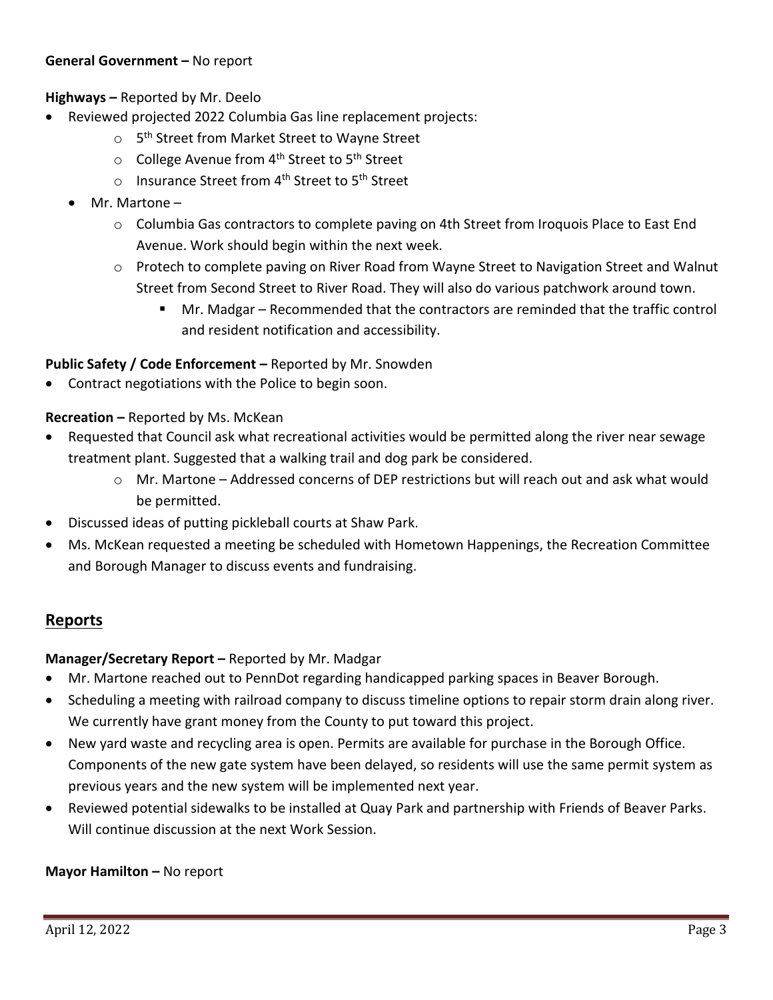## **General Government –** No report

# **Highways –** Reported by Mr. Deelo

- Reviewed projected 2022 Columbia Gas line replacement projects:
	- o 5<sup>th</sup> Street from Market Street to Wayne Street
	- o College Avenue from 4<sup>th</sup> Street to 5<sup>th</sup> Street
	- o Insurance Street from 4<sup>th</sup> Street to 5<sup>th</sup> Street
	- Mr. Martone
		- o Columbia Gas contractors to complete paving on 4th Street from Iroquois Place to East End Avenue. Work should begin within the next week.
		- o Protech to complete paving on River Road from Wayne Street to Navigation Street and Walnut Street from Second Street to River Road. They will also do various patchwork around town.
			- Mr. Madgar Recommended that the contractors are reminded that the traffic control and resident notification and accessibility.

# **Public Safety / Code Enforcement –** Reported by Mr. Snowden

• Contract negotiations with the Police to begin soon.

## **Recreation –** Reported by Ms. McKean

- Requested that Council ask what recreational activities would be permitted along the river near sewage treatment plant. Suggested that a walking trail and dog park be considered.
	- o Mr. Martone Addressed concerns of DEP restrictions but will reach out and ask what would be permitted.
- Discussed ideas of putting pickleball courts at Shaw Park.
- Ms. McKean requested a meeting be scheduled with Hometown Happenings, the Recreation Committee and Borough Manager to discuss events and fundraising.

# **Reports**

# **Manager/Secretary Report –** Reported by Mr. Madgar

- Mr. Martone reached out to PennDot regarding handicapped parking spaces in Beaver Borough.
- Scheduling a meeting with railroad company to discuss timeline options to repair storm drain along river. We currently have grant money from the County to put toward this project.
- New yard waste and recycling area is open. Permits are available for purchase in the Borough Office. Components of the new gate system have been delayed, so residents will use the same permit system as previous years and the new system will be implemented next year.
- Reviewed potential sidewalks to be installed at Quay Park and partnership with Friends of Beaver Parks. Will continue discussion at the next Work Session.

#### **Mayor Hamilton –** No report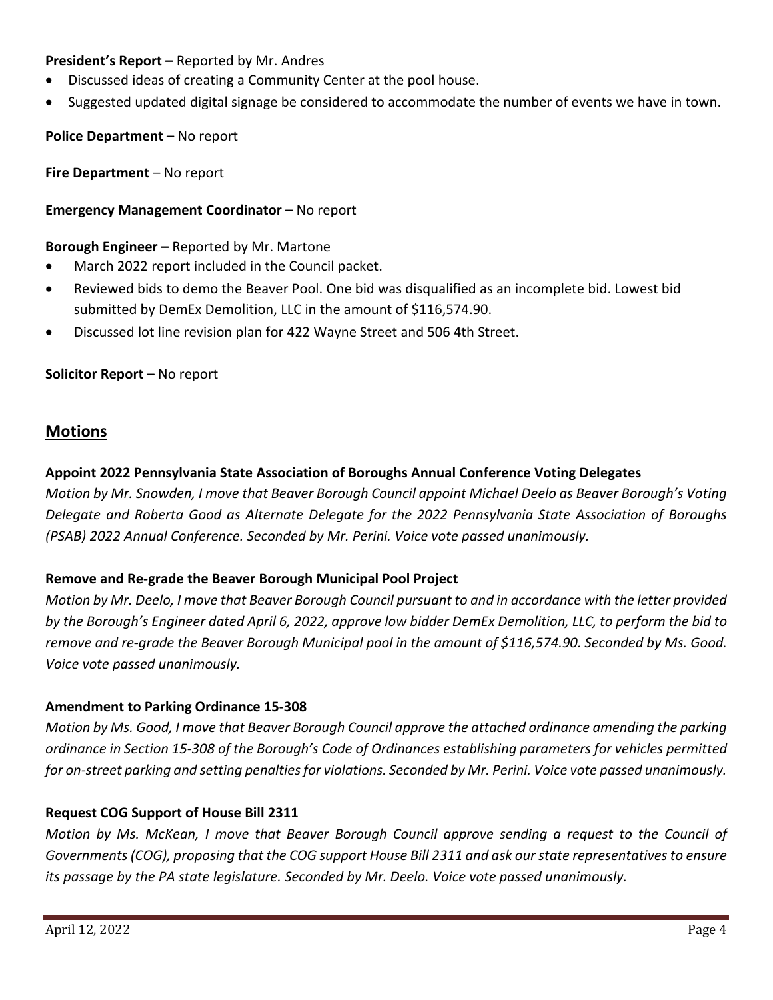# **President's Report –** Reported by Mr. Andres

- Discussed ideas of creating a Community Center at the pool house.
- Suggested updated digital signage be considered to accommodate the number of events we have in town.

**Police Department –** No report

**Fire Department** – No report

**Emergency Management Coordinator –** No report

**Borough Engineer –** Reported by Mr. Martone

- March 2022 report included in the Council packet.
- Reviewed bids to demo the Beaver Pool. One bid was disqualified as an incomplete bid. Lowest bid submitted by DemEx Demolition, LLC in the amount of \$116,574.90.
- Discussed lot line revision plan for 422 Wayne Street and 506 4th Street.

**Solicitor Report –** No report

## **Motions**

# **Appoint 2022 Pennsylvania State Association of Boroughs Annual Conference Voting Delegates**

*Motion by Mr. Snowden, I move that Beaver Borough Council appoint Michael Deelo as Beaver Borough's Voting Delegate and Roberta Good as Alternate Delegate for the 2022 Pennsylvania State Association of Boroughs (PSAB) 2022 Annual Conference. Seconded by Mr. Perini. Voice vote passed unanimously.*

#### **Remove and Re-grade the Beaver Borough Municipal Pool Project**

*Motion by Mr. Deelo, I move that Beaver Borough Council pursuant to and in accordance with the letter provided by the Borough's Engineer dated April 6, 2022, approve low bidder DemEx Demolition, LLC, to perform the bid to remove and re-grade the Beaver Borough Municipal pool in the amount of \$116,574.90. Seconded by Ms. Good. Voice vote passed unanimously.*

#### **Amendment to Parking Ordinance 15-308**

*Motion by Ms. Good, I move that Beaver Borough Council approve the attached ordinance amending the parking ordinance in Section 15-308 of the Borough's Code of Ordinances establishing parameters for vehicles permitted for on-street parking and setting penalties for violations. Seconded by Mr. Perini. Voice vote passed unanimously.*

#### **Request COG Support of House Bill 2311**

*Motion by Ms. McKean, I move that Beaver Borough Council approve sending a request to the Council of Governments (COG), proposing that the COG support House Bill 2311 and ask our state representatives to ensure its passage by the PA state legislature. Seconded by Mr. Deelo. Voice vote passed unanimously.*